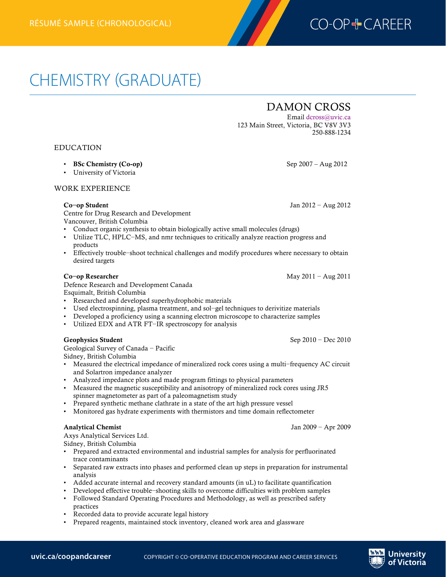

# CHEMISTRY (GRADUATE)

## DAMON CROSS

Email dcross@uvic.ca 123 Main Street, Victoria, BC V8V 3V3 250-888-1234

EDUCATION

- BSc Chemistry (Co-op) Sep 2007 Aug 2012
- University of Victoria

WORK EXPERIENCE

Centre for Drug Research and Development

Vancouver, British Columbia

- Conduct organic synthesis to obtain biologically active small molecules (drugs)
- Utilize TLC, HPLC−MS, and nmr techniques to critically analyze reaction progress and products
- Effectively trouble−shoot technical challenges and modify procedures where necessary to obtain desired targets

Defence Research and Development Canada Esquimalt, British Columbia

- Researched and developed superhydrophobic materials
- Used electrospinning, plasma treatment, and sol−gel techniques to derivitize materials
- Developed a proficiency using a scanning electron microscope to characterize samples
- Utilized EDX and ATR FT−IR spectroscopy for analysis

### Geophysics Student Sep 2010 − Dec 2010

Geological Survey of Canada − Pacific Sidney, British Columbia

- Measured the electrical impedance of mineralized rock cores using a multi−frequency AC circuit and Solartron impedance analyzer
- Analyzed impedance plots and made program fittings to physical parameters
- Measured the magnetic susceptibility and anisotropy of mineralized rock cores using JR5 spinner magnetometer as part of a paleomagnetism study
- Prepared synthetic methane clathrate in a state of the art high pressure vessel
- Monitored gas hydrate experiments with thermistors and time domain reflectometer

### Analytical Chemist Jan 2009 − Apr 2009

Axys Analytical Services Ltd.

Sidney, British Columbia

- Prepared and extracted environmental and industrial samples for analysis for perfluorinated trace contaminants
- Separated raw extracts into phases and performed clean up steps in preparation for instrumental analysis
- Added accurate internal and recovery standard amounts (in uL) to facilitate quantification
- Developed effective trouble−shooting skills to overcome difficulties with problem samples
- Followed Standard Operating Procedures and Methodology, as well as prescribed safety practices
- Recorded data to provide accurate legal history
- Prepared reagents, maintained stock inventory, cleaned work area and glassware

Co**−**op Student Jan 2012 − Aug 2012

Co**−**op Researcher May 2011 − Aug 2011